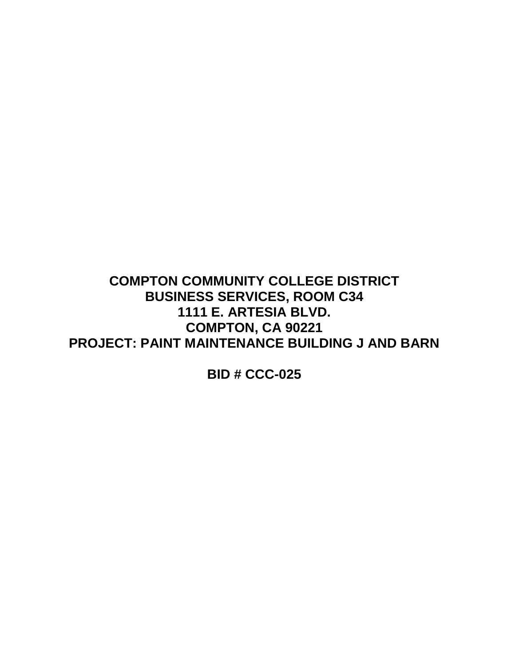# **COMPTON COMMUNITY COLLEGE DISTRICT BUSINESS SERVICES, ROOM C34 1111 E. ARTESIA BLVD. COMPTON, CA 90221 PROJECT: PAINT MAINTENANCE BUILDING J AND BARN**

**BID # CCC-025**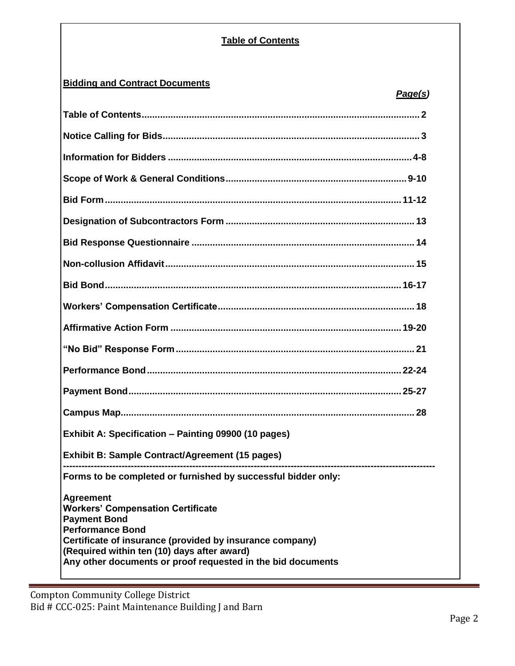# **Table of Contents**

# **Bidding and Contract Documents**

| Exhibit A: Specification - Painting 09900 (10 pages)                                                                                                                                                                                                                                     |  |
|------------------------------------------------------------------------------------------------------------------------------------------------------------------------------------------------------------------------------------------------------------------------------------------|--|
| <b>Exhibit B: Sample Contract/Agreement (15 pages)</b>                                                                                                                                                                                                                                   |  |
| Forms to be completed or furnished by successful bidder only:                                                                                                                                                                                                                            |  |
| <b>Agreement</b><br><b>Workers' Compensation Certificate</b><br><b>Payment Bond</b><br><b>Performance Bond</b><br>Certificate of insurance (provided by insurance company)<br>(Required within ten (10) days after award)<br>Any other documents or proof requested in the bid documents |  |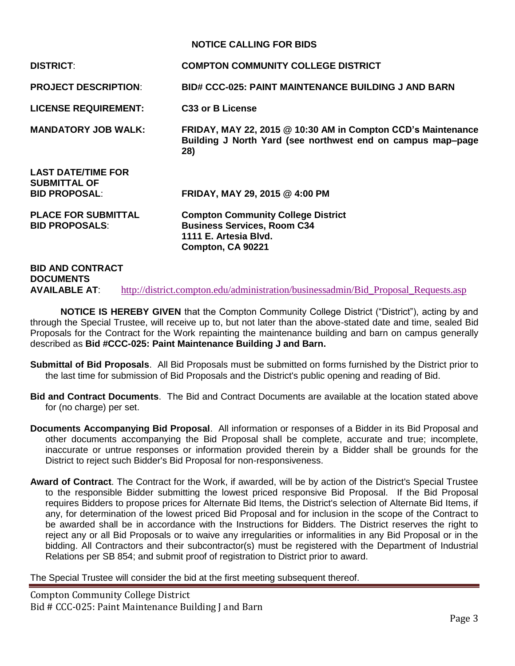## **NOTICE CALLING FOR BIDS**

| <b>DISTRICT:</b>                                                         | <b>COMPTON COMMUNITY COLLEGE DISTRICT</b>                                                                                          |
|--------------------------------------------------------------------------|------------------------------------------------------------------------------------------------------------------------------------|
| <b>PROJECT DESCRIPTION:</b>                                              | <b>BID# CCC-025: PAINT MAINTENANCE BUILDING J AND BARN</b>                                                                         |
| <b>LICENSE REQUIREMENT:</b>                                              | C <sub>33</sub> or B License                                                                                                       |
| <b>MANDATORY JOB WALK:</b>                                               | FRIDAY, MAY 22, 2015 @ 10:30 AM in Compton CCD's Maintenance<br>Building J North Yard (see northwest end on campus map-page<br>28) |
| <b>LAST DATE/TIME FOR</b><br><b>SUBMITTAL OF</b><br><b>BID PROPOSAL:</b> | FRIDAY, MAY 29, 2015 @ 4:00 PM                                                                                                     |
| <b>PLACE FOR SUBMITTAL</b><br><b>BID PROPOSALS:</b>                      | <b>Compton Community College District</b><br><b>Business Services, Room C34</b><br>1111 E. Artesia Blvd.<br>Compton, CA 90221      |
| <b>RID AND CONTRACT</b>                                                  |                                                                                                                                    |

## **BID AND CONTRACT DOCUMENTS AVAILABLE AT:** [http://district.compton.edu/administration/businessadmin/Bid\\_Proposal\\_Requests.asp](http://district.compton.edu/administration/businessadmin/Bid_Proposal_Requests.asp)

**NOTICE IS HEREBY GIVEN** that the Compton Community College District ("District"), acting by and through the Special Trustee, will receive up to, but not later than the above-stated date and time, sealed Bid Proposals for the Contract for the Work repainting the maintenance building and barn on campus generally described as **Bid #CCC-025: Paint Maintenance Building J and Barn.**

- **Submittal of Bid Proposals**. All Bid Proposals must be submitted on forms furnished by the District prior to the last time for submission of Bid Proposals and the District's public opening and reading of Bid.
- **Bid and Contract Documents**. The Bid and Contract Documents are available at the location stated above for (no charge) per set.
- **Documents Accompanying Bid Proposal**. All information or responses of a Bidder in its Bid Proposal and other documents accompanying the Bid Proposal shall be complete, accurate and true; incomplete, inaccurate or untrue responses or information provided therein by a Bidder shall be grounds for the District to reject such Bidder's Bid Proposal for non-responsiveness.
- **Award of Contract**. The Contract for the Work, if awarded, will be by action of the District's Special Trustee to the responsible Bidder submitting the lowest priced responsive Bid Proposal. If the Bid Proposal requires Bidders to propose prices for Alternate Bid Items, the District's selection of Alternate Bid Items, if any, for determination of the lowest priced Bid Proposal and for inclusion in the scope of the Contract to be awarded shall be in accordance with the Instructions for Bidders. The District reserves the right to reject any or all Bid Proposals or to waive any irregularities or informalities in any Bid Proposal or in the bidding. All Contractors and their subcontractor(s) must be registered with the Department of Industrial Relations per SB 854; and submit proof of registration to District prior to award.

The Special Trustee will consider the bid at the first meeting subsequent thereof.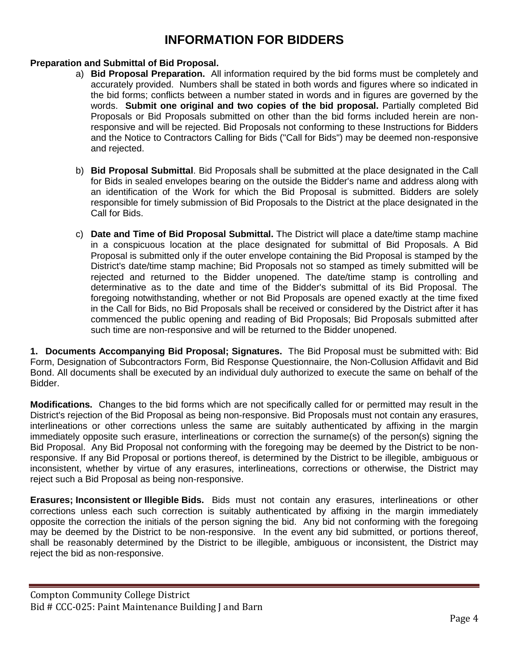# **INFORMATION FOR BIDDERS**

## **Preparation and Submittal of Bid Proposal.**

- a) **Bid Proposal Preparation.** All information required by the bid forms must be completely and accurately provided. Numbers shall be stated in both words and figures where so indicated in the bid forms; conflicts between a number stated in words and in figures are governed by the words. **Submit one original and two copies of the bid proposal.** Partially completed Bid Proposals or Bid Proposals submitted on other than the bid forms included herein are nonresponsive and will be rejected. Bid Proposals not conforming to these Instructions for Bidders and the Notice to Contractors Calling for Bids ("Call for Bids") may be deemed non-responsive and rejected.
- b) **Bid Proposal Submittal**. Bid Proposals shall be submitted at the place designated in the Call for Bids in sealed envelopes bearing on the outside the Bidder's name and address along with an identification of the Work for which the Bid Proposal is submitted. Bidders are solely responsible for timely submission of Bid Proposals to the District at the place designated in the Call for Bids.
- c) **Date and Time of Bid Proposal Submittal.** The District will place a date/time stamp machine in a conspicuous location at the place designated for submittal of Bid Proposals. A Bid Proposal is submitted only if the outer envelope containing the Bid Proposal is stamped by the District's date/time stamp machine; Bid Proposals not so stamped as timely submitted will be rejected and returned to the Bidder unopened. The date/time stamp is controlling and determinative as to the date and time of the Bidder's submittal of its Bid Proposal. The foregoing notwithstanding, whether or not Bid Proposals are opened exactly at the time fixed in the Call for Bids, no Bid Proposals shall be received or considered by the District after it has commenced the public opening and reading of Bid Proposals; Bid Proposals submitted after such time are non-responsive and will be returned to the Bidder unopened.

**1. Documents Accompanying Bid Proposal; Signatures.** The Bid Proposal must be submitted with: Bid Form, Designation of Subcontractors Form, Bid Response Questionnaire, the Non-Collusion Affidavit and Bid Bond. All documents shall be executed by an individual duly authorized to execute the same on behalf of the Bidder.

**Modifications.** Changes to the bid forms which are not specifically called for or permitted may result in the District's rejection of the Bid Proposal as being non-responsive. Bid Proposals must not contain any erasures, interlineations or other corrections unless the same are suitably authenticated by affixing in the margin immediately opposite such erasure, interlineations or correction the surname(s) of the person(s) signing the Bid Proposal. Any Bid Proposal not conforming with the foregoing may be deemed by the District to be nonresponsive. If any Bid Proposal or portions thereof, is determined by the District to be illegible, ambiguous or inconsistent, whether by virtue of any erasures, interlineations, corrections or otherwise, the District may reject such a Bid Proposal as being non-responsive.

**Erasures; Inconsistent or Illegible Bids.** Bids must not contain any erasures, interlineations or other corrections unless each such correction is suitably authenticated by affixing in the margin immediately opposite the correction the initials of the person signing the bid. Any bid not conforming with the foregoing may be deemed by the District to be non-responsive. In the event any bid submitted, or portions thereof, shall be reasonably determined by the District to be illegible, ambiguous or inconsistent, the District may reject the bid as non-responsive.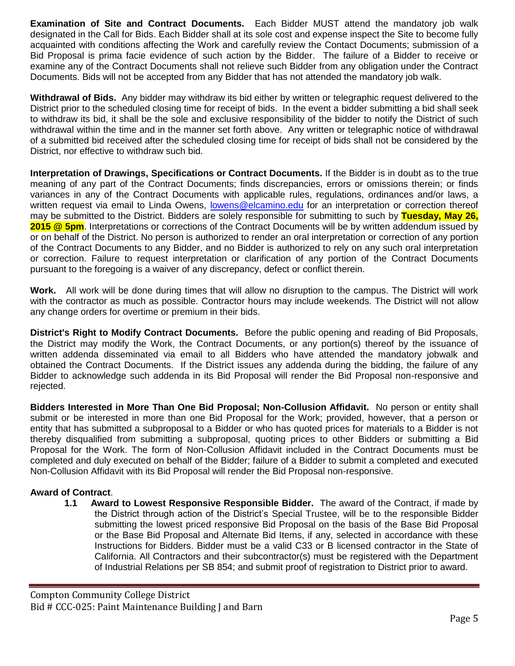**Examination of Site and Contract Documents.** Each Bidder MUST attend the mandatory job walk designated in the Call for Bids. Each Bidder shall at its sole cost and expense inspect the Site to become fully acquainted with conditions affecting the Work and carefully review the Contact Documents; submission of a Bid Proposal is prima facie evidence of such action by the Bidder. The failure of a Bidder to receive or examine any of the Contract Documents shall not relieve such Bidder from any obligation under the Contract Documents. Bids will not be accepted from any Bidder that has not attended the mandatory job walk.

**Withdrawal of Bids.** Any bidder may withdraw its bid either by written or telegraphic request delivered to the District prior to the scheduled closing time for receipt of bids. In the event a bidder submitting a bid shall seek to withdraw its bid, it shall be the sole and exclusive responsibility of the bidder to notify the District of such withdrawal within the time and in the manner set forth above. Any written or telegraphic notice of withdrawal of a submitted bid received after the scheduled closing time for receipt of bids shall not be considered by the District, nor effective to withdraw such bid.

**Interpretation of Drawings, Specifications or Contract Documents.** If the Bidder is in doubt as to the true meaning of any part of the Contract Documents; finds discrepancies, errors or omissions therein; or finds variances in any of the Contract Documents with applicable rules, regulations, ordinances and/or laws, a written request via email to Linda Owens, [lowens@elcamino.edu](mailto:lowens@elcamino.edu) for an interpretation or correction thereof may be submitted to the District. Bidders are solely responsible for submitting to such by **Tuesday, May 26, 2015 @ 5pm**. Interpretations or corrections of the Contract Documents will be by written addendum issued by or on behalf of the District. No person is authorized to render an oral interpretation or correction of any portion of the Contract Documents to any Bidder, and no Bidder is authorized to rely on any such oral interpretation or correction. Failure to request interpretation or clarification of any portion of the Contract Documents pursuant to the foregoing is a waiver of any discrepancy, defect or conflict therein.

**Work.** All work will be done during times that will allow no disruption to the campus. The District will work with the contractor as much as possible. Contractor hours may include weekends. The District will not allow any change orders for overtime or premium in their bids.

**District's Right to Modify Contract Documents.** Before the public opening and reading of Bid Proposals, the District may modify the Work, the Contract Documents, or any portion(s) thereof by the issuance of written addenda disseminated via email to all Bidders who have attended the mandatory jobwalk and obtained the Contract Documents. If the District issues any addenda during the bidding, the failure of any Bidder to acknowledge such addenda in its Bid Proposal will render the Bid Proposal non-responsive and rejected.

**Bidders Interested in More Than One Bid Proposal; Non-Collusion Affidavit.** No person or entity shall submit or be interested in more than one Bid Proposal for the Work; provided, however, that a person or entity that has submitted a subproposal to a Bidder or who has quoted prices for materials to a Bidder is not thereby disqualified from submitting a subproposal, quoting prices to other Bidders or submitting a Bid Proposal for the Work. The form of Non-Collusion Affidavit included in the Contract Documents must be completed and duly executed on behalf of the Bidder; failure of a Bidder to submit a completed and executed Non-Collusion Affidavit with its Bid Proposal will render the Bid Proposal non-responsive.

# **Award of Contract**.

**1.1 Award to Lowest Responsive Responsible Bidder.** The award of the Contract, if made by the District through action of the District's Special Trustee, will be to the responsible Bidder submitting the lowest priced responsive Bid Proposal on the basis of the Base Bid Proposal or the Base Bid Proposal and Alternate Bid Items, if any, selected in accordance with these Instructions for Bidders. Bidder must be a valid C33 or B licensed contractor in the State of California. All Contractors and their subcontractor(s) must be registered with the Department of Industrial Relations per SB 854; and submit proof of registration to District prior to award.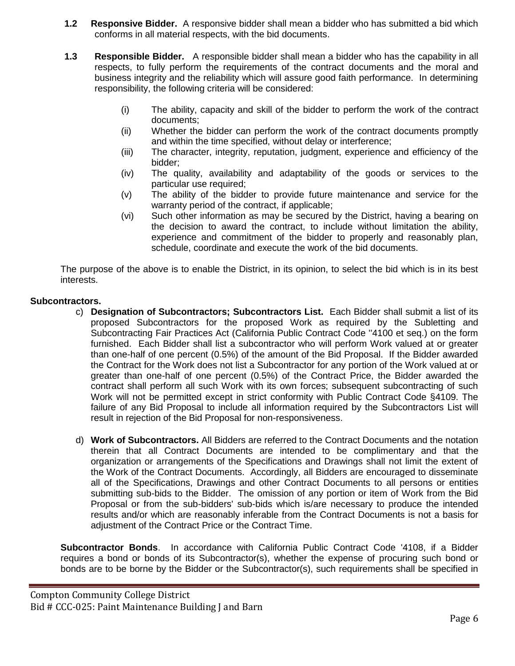- **1.2 Responsive Bidder.** A responsive bidder shall mean a bidder who has submitted a bid which conforms in all material respects, with the bid documents.
- **1.3 Responsible Bidder.** A responsible bidder shall mean a bidder who has the capability in all respects, to fully perform the requirements of the contract documents and the moral and business integrity and the reliability which will assure good faith performance. In determining responsibility, the following criteria will be considered:
	- (i) The ability, capacity and skill of the bidder to perform the work of the contract documents;
	- (ii) Whether the bidder can perform the work of the contract documents promptly and within the time specified, without delay or interference;
	- (iii) The character, integrity, reputation, judgment, experience and efficiency of the bidder;
	- (iv) The quality, availability and adaptability of the goods or services to the particular use required;
	- (v) The ability of the bidder to provide future maintenance and service for the warranty period of the contract, if applicable;
	- (vi) Such other information as may be secured by the District, having a bearing on the decision to award the contract, to include without limitation the ability, experience and commitment of the bidder to properly and reasonably plan, schedule, coordinate and execute the work of the bid documents.

The purpose of the above is to enable the District, in its opinion, to select the bid which is in its best interests.

## **Subcontractors.**

- c) **Designation of Subcontractors; Subcontractors List.** Each Bidder shall submit a list of its proposed Subcontractors for the proposed Work as required by the Subletting and Subcontracting Fair Practices Act (California Public Contract Code ''4100 et seq.) on the form furnished. Each Bidder shall list a subcontractor who will perform Work valued at or greater than one-half of one percent (0.5%) of the amount of the Bid Proposal. If the Bidder awarded the Contract for the Work does not list a Subcontractor for any portion of the Work valued at or greater than one-half of one percent (0.5%) of the Contract Price, the Bidder awarded the contract shall perform all such Work with its own forces; subsequent subcontracting of such Work will not be permitted except in strict conformity with Public Contract Code §4109. The failure of any Bid Proposal to include all information required by the Subcontractors List will result in rejection of the Bid Proposal for non-responsiveness.
- d) **Work of Subcontractors.** All Bidders are referred to the Contract Documents and the notation therein that all Contract Documents are intended to be complimentary and that the organization or arrangements of the Specifications and Drawings shall not limit the extent of the Work of the Contract Documents. Accordingly, all Bidders are encouraged to disseminate all of the Specifications, Drawings and other Contract Documents to all persons or entities submitting sub-bids to the Bidder. The omission of any portion or item of Work from the Bid Proposal or from the sub-bidders' sub-bids which is/are necessary to produce the intended results and/or which are reasonably inferable from the Contract Documents is not a basis for adjustment of the Contract Price or the Contract Time.

**Subcontractor Bonds**. In accordance with California Public Contract Code '4108, if a Bidder requires a bond or bonds of its Subcontractor(s), whether the expense of procuring such bond or bonds are to be borne by the Bidder or the Subcontractor(s), such requirements shall be specified in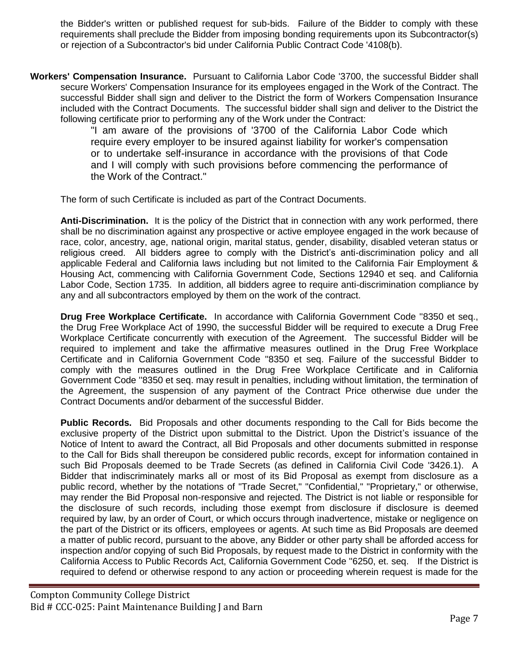the Bidder's written or published request for sub-bids. Failure of the Bidder to comply with these requirements shall preclude the Bidder from imposing bonding requirements upon its Subcontractor(s) or rejection of a Subcontractor's bid under California Public Contract Code '4108(b).

**Workers' Compensation Insurance.** Pursuant to California Labor Code '3700, the successful Bidder shall secure Workers' Compensation Insurance for its employees engaged in the Work of the Contract. The successful Bidder shall sign and deliver to the District the form of Workers Compensation Insurance included with the Contract Documents. The successful bidder shall sign and deliver to the District the following certificate prior to performing any of the Work under the Contract:

"I am aware of the provisions of '3700 of the California Labor Code which require every employer to be insured against liability for worker's compensation or to undertake self-insurance in accordance with the provisions of that Code and I will comply with such provisions before commencing the performance of the Work of the Contract."

The form of such Certificate is included as part of the Contract Documents.

**Anti-Discrimination.** It is the policy of the District that in connection with any work performed, there shall be no discrimination against any prospective or active employee engaged in the work because of race, color, ancestry, age, national origin, marital status, gender, disability, disabled veteran status or religious creed. All bidders agree to comply with the District's anti-discrimination policy and all applicable Federal and California laws including but not limited to the California Fair Employment & Housing Act, commencing with California Government Code, Sections 12940 et seq. and California Labor Code, Section 1735. In addition, all bidders agree to require anti-discrimination compliance by any and all subcontractors employed by them on the work of the contract.

**Drug Free Workplace Certificate.** In accordance with California Government Code ''8350 et seq., the Drug Free Workplace Act of 1990, the successful Bidder will be required to execute a Drug Free Workplace Certificate concurrently with execution of the Agreement. The successful Bidder will be required to implement and take the affirmative measures outlined in the Drug Free Workplace Certificate and in California Government Code ''8350 et seq. Failure of the successful Bidder to comply with the measures outlined in the Drug Free Workplace Certificate and in California Government Code ''8350 et seq. may result in penalties, including without limitation, the termination of the Agreement, the suspension of any payment of the Contract Price otherwise due under the Contract Documents and/or debarment of the successful Bidder.

**Public Records.** Bid Proposals and other documents responding to the Call for Bids become the exclusive property of the District upon submittal to the District. Upon the District's issuance of the Notice of Intent to award the Contract, all Bid Proposals and other documents submitted in response to the Call for Bids shall thereupon be considered public records, except for information contained in such Bid Proposals deemed to be Trade Secrets (as defined in California Civil Code '3426.1). A Bidder that indiscriminately marks all or most of its Bid Proposal as exempt from disclosure as a public record, whether by the notations of "Trade Secret," "Confidential," "Proprietary," or otherwise, may render the Bid Proposal non-responsive and rejected. The District is not liable or responsible for the disclosure of such records, including those exempt from disclosure if disclosure is deemed required by law, by an order of Court, or which occurs through inadvertence, mistake or negligence on the part of the District or its officers, employees or agents. At such time as Bid Proposals are deemed a matter of public record, pursuant to the above, any Bidder or other party shall be afforded access for inspection and/or copying of such Bid Proposals, by request made to the District in conformity with the California Access to Public Records Act, California Government Code ''6250, et. seq. If the District is required to defend or otherwise respond to any action or proceeding wherein request is made for the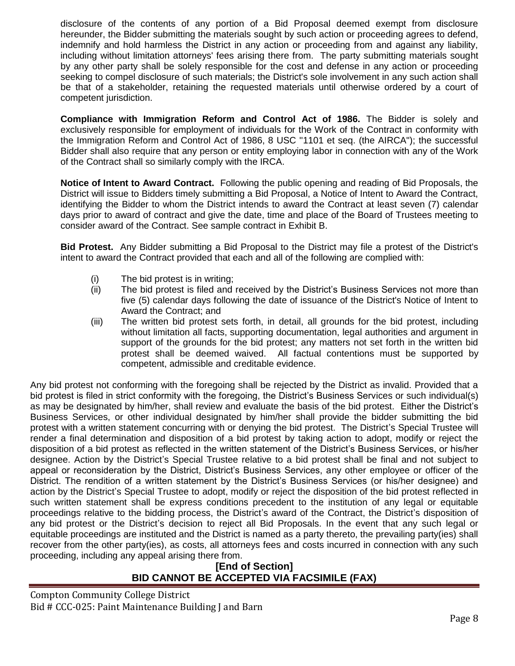disclosure of the contents of any portion of a Bid Proposal deemed exempt from disclosure hereunder, the Bidder submitting the materials sought by such action or proceeding agrees to defend, indemnify and hold harmless the District in any action or proceeding from and against any liability, including without limitation attorneys' fees arising there from. The party submitting materials sought by any other party shall be solely responsible for the cost and defense in any action or proceeding seeking to compel disclosure of such materials; the District's sole involvement in any such action shall be that of a stakeholder, retaining the requested materials until otherwise ordered by a court of competent jurisdiction.

**Compliance with Immigration Reform and Control Act of 1986.** The Bidder is solely and exclusively responsible for employment of individuals for the Work of the Contract in conformity with the Immigration Reform and Control Act of 1986, 8 USC ''1101 et seq. (the AIRCA"); the successful Bidder shall also require that any person or entity employing labor in connection with any of the Work of the Contract shall so similarly comply with the IRCA.

**Notice of Intent to Award Contract.** Following the public opening and reading of Bid Proposals, the District will issue to Bidders timely submitting a Bid Proposal, a Notice of Intent to Award the Contract, identifying the Bidder to whom the District intends to award the Contract at least seven (7) calendar days prior to award of contract and give the date, time and place of the Board of Trustees meeting to consider award of the Contract. See sample contract in Exhibit B.

**Bid Protest.** Any Bidder submitting a Bid Proposal to the District may file a protest of the District's intent to award the Contract provided that each and all of the following are complied with:

- (i) The bid protest is in writing;
- (ii) The bid protest is filed and received by the District's Business Services not more than five (5) calendar days following the date of issuance of the District's Notice of Intent to Award the Contract; and
- (iii) The written bid protest sets forth, in detail, all grounds for the bid protest, including without limitation all facts, supporting documentation, legal authorities and argument in support of the grounds for the bid protest; any matters not set forth in the written bid protest shall be deemed waived. All factual contentions must be supported by competent, admissible and creditable evidence.

Any bid protest not conforming with the foregoing shall be rejected by the District as invalid. Provided that a bid protest is filed in strict conformity with the foregoing, the District's Business Services or such individual(s) as may be designated by him/her, shall review and evaluate the basis of the bid protest. Either the District's Business Services, or other individual designated by him/her shall provide the bidder submitting the bid protest with a written statement concurring with or denying the bid protest. The District's Special Trustee will render a final determination and disposition of a bid protest by taking action to adopt, modify or reject the disposition of a bid protest as reflected in the written statement of the District's Business Services, or his/her designee. Action by the District's Special Trustee relative to a bid protest shall be final and not subject to appeal or reconsideration by the District, District's Business Services, any other employee or officer of the District. The rendition of a written statement by the District's Business Services (or his/her designee) and action by the District's Special Trustee to adopt, modify or reject the disposition of the bid protest reflected in such written statement shall be express conditions precedent to the institution of any legal or equitable proceedings relative to the bidding process, the District's award of the Contract, the District's disposition of any bid protest or the District's decision to reject all Bid Proposals. In the event that any such legal or equitable proceedings are instituted and the District is named as a party thereto, the prevailing party(ies) shall recover from the other party(ies), as costs, all attorneys fees and costs incurred in connection with any such proceeding, including any appeal arising there from.

**[End of Section] BID CANNOT BE ACCEPTED VIA FACSIMILE (FAX)**

Compton Community College District Bid # CCC-025: Paint Maintenance Building J and Barn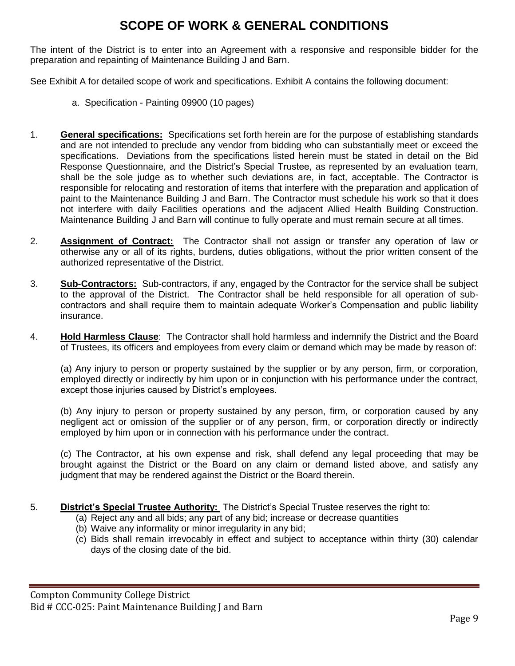# **SCOPE OF WORK & GENERAL CONDITIONS**

The intent of the District is to enter into an Agreement with a responsive and responsible bidder for the preparation and repainting of Maintenance Building J and Barn.

See Exhibit A for detailed scope of work and specifications. Exhibit A contains the following document:

- a. Specification Painting 09900 (10 pages)
- 1. **General specifications:** Specifications set forth herein are for the purpose of establishing standards and are not intended to preclude any vendor from bidding who can substantially meet or exceed the specifications. Deviations from the specifications listed herein must be stated in detail on the Bid Response Questionnaire, and the District's Special Trustee, as represented by an evaluation team, shall be the sole judge as to whether such deviations are, in fact, acceptable. The Contractor is responsible for relocating and restoration of items that interfere with the preparation and application of paint to the Maintenance Building J and Barn. The Contractor must schedule his work so that it does not interfere with daily Facilities operations and the adjacent Allied Health Building Construction. Maintenance Building J and Barn will continue to fully operate and must remain secure at all times.
- 2. **Assignment of Contract:** The Contractor shall not assign or transfer any operation of law or otherwise any or all of its rights, burdens, duties obligations, without the prior written consent of the authorized representative of the District.
- 3. **Sub-Contractors:** Sub-contractors, if any, engaged by the Contractor for the service shall be subject to the approval of the District. The Contractor shall be held responsible for all operation of subcontractors and shall require them to maintain adequate Worker's Compensation and public liability insurance.
- 4. **Hold Harmless Clause**: The Contractor shall hold harmless and indemnify the District and the Board of Trustees, its officers and employees from every claim or demand which may be made by reason of:

(a) Any injury to person or property sustained by the supplier or by any person, firm, or corporation, employed directly or indirectly by him upon or in conjunction with his performance under the contract, except those injuries caused by District's employees.

(b) Any injury to person or property sustained by any person, firm, or corporation caused by any negligent act or omission of the supplier or of any person, firm, or corporation directly or indirectly employed by him upon or in connection with his performance under the contract.

(c) The Contractor, at his own expense and risk, shall defend any legal proceeding that may be brought against the District or the Board on any claim or demand listed above, and satisfy any judgment that may be rendered against the District or the Board therein.

- 5. **District's Special Trustee Authority:** The District's Special Trustee reserves the right to:
	- (a) Reject any and all bids; any part of any bid; increase or decrease quantities
	- (b) Waive any informality or minor irregularity in any bid;
	- (c) Bids shall remain irrevocably in effect and subject to acceptance within thirty (30) calendar days of the closing date of the bid.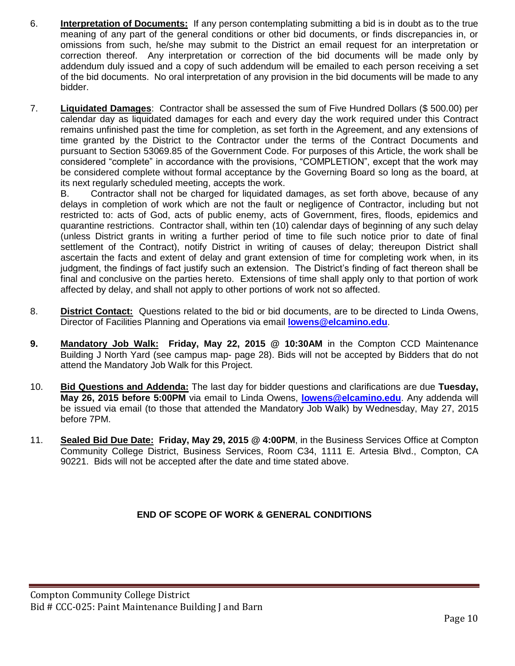- 6. **Interpretation of Documents:** If any person contemplating submitting a bid is in doubt as to the true meaning of any part of the general conditions or other bid documents, or finds discrepancies in, or omissions from such, he/she may submit to the District an email request for an interpretation or correction thereof. Any interpretation or correction of the bid documents will be made only by addendum duly issued and a copy of such addendum will be emailed to each person receiving a set of the bid documents. No oral interpretation of any provision in the bid documents will be made to any bidder.
- 7. **Liquidated Damages**: Contractor shall be assessed the sum of Five Hundred Dollars (\$ 500.00) per calendar day as liquidated damages for each and every day the work required under this Contract remains unfinished past the time for completion, as set forth in the Agreement, and any extensions of time granted by the District to the Contractor under the terms of the Contract Documents and pursuant to Section 53069.85 of the Government Code. For purposes of this Article, the work shall be considered "complete" in accordance with the provisions, "COMPLETION", except that the work may be considered complete without formal acceptance by the Governing Board so long as the board, at its next regularly scheduled meeting, accepts the work.

B. Contractor shall not be charged for liquidated damages, as set forth above, because of any delays in completion of work which are not the fault or negligence of Contractor, including but not restricted to: acts of God, acts of public enemy, acts of Government, fires, floods, epidemics and quarantine restrictions. Contractor shall, within ten (10) calendar days of beginning of any such delay (unless District grants in writing a further period of time to file such notice prior to date of final settlement of the Contract), notify District in writing of causes of delay; thereupon District shall ascertain the facts and extent of delay and grant extension of time for completing work when, in its judgment, the findings of fact justify such an extension. The District's finding of fact thereon shall be final and conclusive on the parties hereto. Extensions of time shall apply only to that portion of work affected by delay, and shall not apply to other portions of work not so affected.

- 8. **District Contact:** Questions related to the bid or bid documents, are to be directed to Linda Owens, Director of Facilities Planning and Operations via email **[lowens@elcamino.edu](mailto:lowens@elcamino.edu)**.
- **9. Mandatory Job Walk: Friday, May 22, 2015 @ 10:30AM** in the Compton CCD Maintenance Building J North Yard (see campus map- page 28). Bids will not be accepted by Bidders that do not attend the Mandatory Job Walk for this Project.
- 10. **Bid Questions and Addenda:** The last day for bidder questions and clarifications are due **Tuesday, May 26, 2015 before 5:00PM** via email to Linda Owens, **[lowens@elcamino.edu](mailto:lowens@elcamino.edu)**. Any addenda will be issued via email (to those that attended the Mandatory Job Walk) by Wednesday, May 27, 2015 before 7PM.
- 11. **Sealed Bid Due Date: Friday, May 29, 2015 @ 4:00PM**, in the Business Services Office at Compton Community College District, Business Services, Room C34, 1111 E. Artesia Blvd., Compton, CA 90221. Bids will not be accepted after the date and time stated above.

# **END OF SCOPE OF WORK & GENERAL CONDITIONS**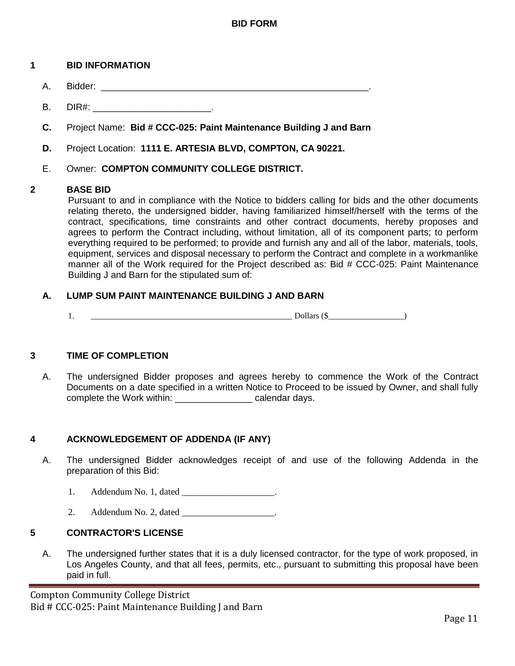## **1 BID INFORMATION**

- A. Bidder: \_\_\_\_\_\_\_\_\_\_\_\_\_\_\_\_\_\_\_\_\_\_\_\_\_\_\_\_\_\_\_\_\_\_\_\_\_\_\_\_\_\_\_\_\_\_\_\_\_\_\_\_.
- B. DIR#: \_\_\_\_\_\_\_\_\_\_\_\_\_\_\_\_\_\_\_\_\_\_\_\_\_\_\_\_.
- **C.** Project Name: **Bid # CCC-025: Paint Maintenance Building J and Barn**
- **D.** Project Location: **1111 E. ARTESIA BLVD, COMPTON, CA 90221.**
- E. Owner: **COMPTON COMMUNITY COLLEGE DISTRICT.**

## **2 BASE BID**

Pursuant to and in compliance with the Notice to bidders calling for bids and the other documents relating thereto, the undersigned bidder, having familiarized himself/herself with the terms of the contract, specifications, time constraints and other contract documents, hereby proposes and agrees to perform the Contract including, without limitation, all of its component parts; to perform everything required to be performed; to provide and furnish any and all of the labor, materials, tools, equipment, services and disposal necessary to perform the Contract and complete in a workmanlike manner all of the Work required for the Project described as: Bid # CCC-025: Paint Maintenance Building J and Barn for the stipulated sum of:

## **A. LUMP SUM PAINT MAINTENANCE BUILDING J AND BARN**

 $1.$  Dollars ( $\$\text{Dollars (}\text{S}\text{)}$ )

## **3 TIME OF COMPLETION**

A. The undersigned Bidder proposes and agrees hereby to commence the Work of the Contract Documents on a date specified in a written Notice to Proceed to be issued by Owner, and shall fully complete the Work within: \_\_\_\_\_\_\_\_\_\_\_\_\_\_\_\_\_\_\_\_ calendar days.

## **4 ACKNOWLEDGEMENT OF ADDENDA (IF ANY)**

- A. The undersigned Bidder acknowledges receipt of and use of the following Addenda in the preparation of this Bid:
	- 1. Addendum No. 1, dated the Addendum No. 1, dated the contract of the Addendum No. 1, dated the contract of the  $\sim$
	- 2. Addendum No. 2, dated

## **5 CONTRACTOR'S LICENSE**

A. The undersigned further states that it is a duly licensed contractor, for the type of work proposed, in Los Angeles County, and that all fees, permits, etc., pursuant to submitting this proposal have been paid in full.

Compton Community College District Bid # CCC-025: Paint Maintenance Building J and Barn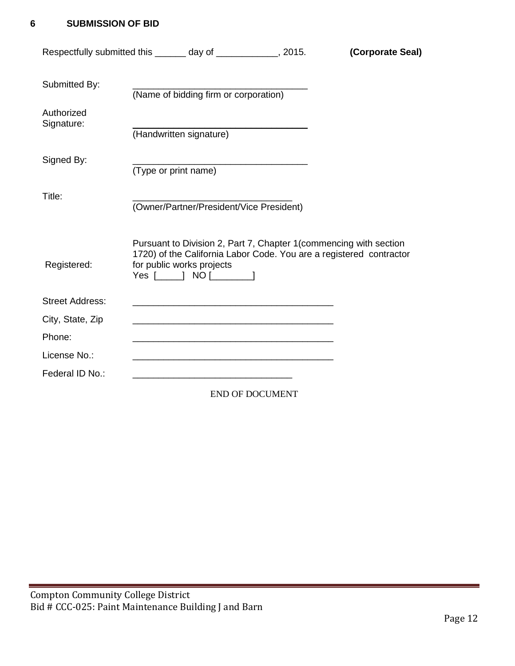# **6 SUBMISSION OF BID**

| Respectfully submitted this _______ day of _____________, 2015. |                                                                                                                       |                                                   | (Corporate Seal)                                                                                                                         |
|-----------------------------------------------------------------|-----------------------------------------------------------------------------------------------------------------------|---------------------------------------------------|------------------------------------------------------------------------------------------------------------------------------------------|
| Submitted By:                                                   | (Name of bidding firm or corporation)                                                                                 |                                                   |                                                                                                                                          |
| Authorized<br>Signature:                                        | (Handwritten signature)                                                                                               |                                                   |                                                                                                                                          |
| Signed By:                                                      | (Type or print name)                                                                                                  | <u> 1989 - Johann Barbara, martxa alemaniar a</u> |                                                                                                                                          |
| Title:                                                          | (Owner/Partner/President/Vice President)                                                                              |                                                   |                                                                                                                                          |
| Registered:                                                     | for public works projects<br>Yes [______] NO [__________]                                                             |                                                   | Pursuant to Division 2, Part 7, Chapter 1(commencing with section<br>1720) of the California Labor Code. You are a registered contractor |
| <b>Street Address:</b>                                          |                                                                                                                       |                                                   |                                                                                                                                          |
| City, State, Zip                                                | <u> 1989 - Johann Stoff, amerikansk politiker (d. 1989)</u>                                                           |                                                   |                                                                                                                                          |
| Phone:                                                          | <u> 1989 - Johann Barbara, margaret e poeta esperanto-poeta esperanto-poeta esperanto-poeta esperanto-poeta esper</u> |                                                   |                                                                                                                                          |
| License No.:                                                    |                                                                                                                       |                                                   |                                                                                                                                          |
| Federal ID No.:                                                 |                                                                                                                       |                                                   |                                                                                                                                          |
|                                                                 |                                                                                                                       | <b>END OF DOCUMENT</b>                            |                                                                                                                                          |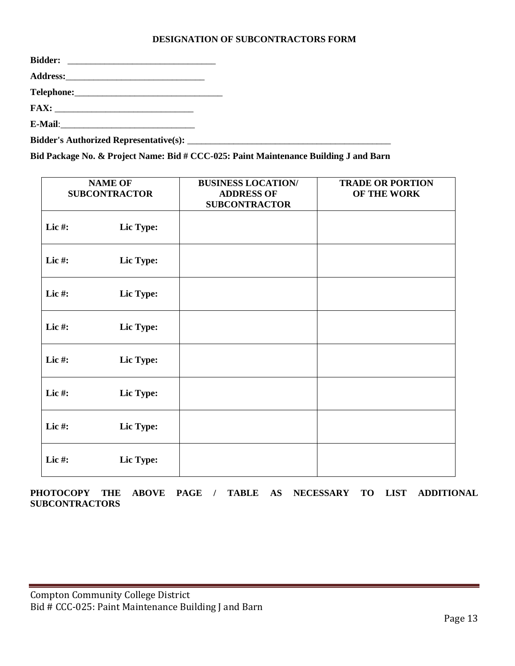## **DESIGNATION OF SUBCONTRACTORS FORM**

| <b>Bidder:</b> |  |
|----------------|--|
|                |  |
|                |  |
|                |  |
|                |  |
|                |  |

**Bid Package No. & Project Name: Bid # CCC-025: Paint Maintenance Building J and Barn**

|           | <b>NAME OF</b><br><b>SUBCONTRACTOR</b> | <b>BUSINESS LOCATION/</b><br><b>ADDRESS OF</b><br><b>SUBCONTRACTOR</b> | <b>TRADE OR PORTION</b><br>OF THE WORK |
|-----------|----------------------------------------|------------------------------------------------------------------------|----------------------------------------|
| Lic#:     | Lic Type:                              |                                                                        |                                        |
| Lic $#$ : | Lic Type:                              |                                                                        |                                        |
| Lic#:     | Lic Type:                              |                                                                        |                                        |
| Lic#:     | Lic Type:                              |                                                                        |                                        |
| Lic#:     | Lic Type:                              |                                                                        |                                        |
| Lic#:     | Lic Type:                              |                                                                        |                                        |
| Lic#:     | Lic Type:                              |                                                                        |                                        |
| Lic#:     | Lic Type:                              |                                                                        |                                        |

**PHOTOCOPY THE ABOVE PAGE / TABLE AS NECESSARY TO LIST ADDITIONAL SUBCONTRACTORS**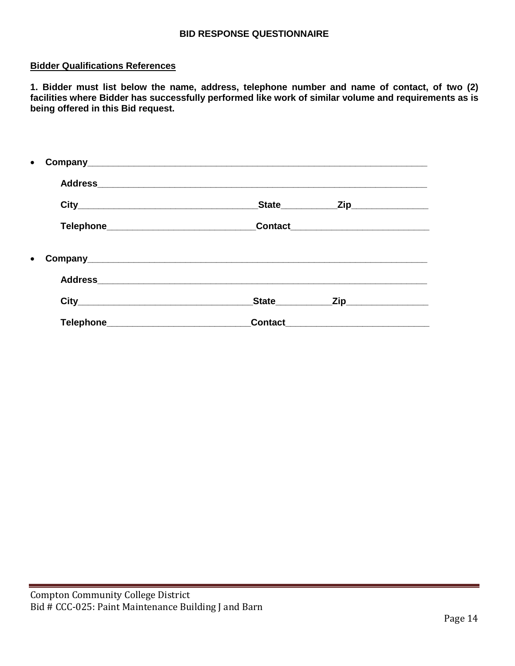## **BID RESPONSE QUESTIONNAIRE**

## **Bidder Qualifications References**

**1. Bidder must list below the name, address, telephone number and name of contact, of two (2) facilities where Bidder has successfully performed like work of similar volume and requirements as is being offered in this Bid request.**

|           | State <sub></sub> | _Zip___________________                   |  |
|-----------|-------------------|-------------------------------------------|--|
|           |                   |                                           |  |
| $\bullet$ |                   |                                           |  |
|           |                   |                                           |  |
|           |                   | _State______________Zip__________________ |  |
|           |                   |                                           |  |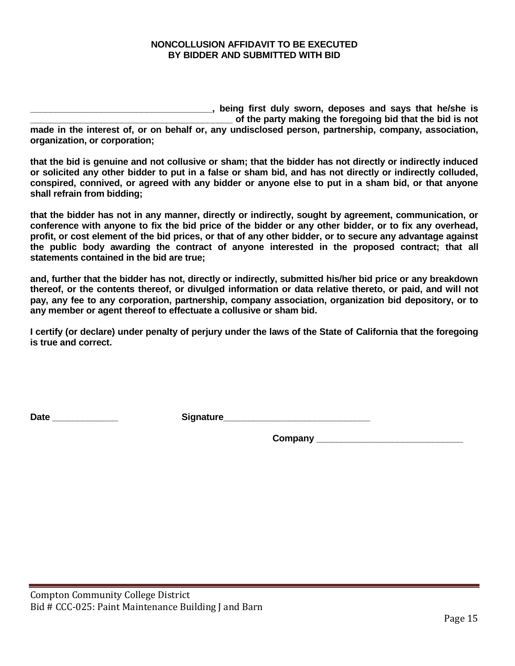## **NONCOLLUSION AFFIDAVIT TO BE EXECUTED BY BIDDER AND SUBMITTED WITH BID**

**\_\_\_\_\_\_\_\_\_\_\_\_\_\_\_\_\_\_\_\_\_\_\_\_\_\_\_\_\_\_\_\_\_\_\_\_, being first duly sworn, deposes and says that he/she is \_\_\_\_\_\_\_\_\_\_\_\_\_\_\_\_\_\_\_\_\_\_\_\_\_\_\_\_\_\_\_\_\_\_\_\_\_\_\_\_ of the party making the foregoing bid that the bid is not made in the interest of, or on behalf or, any undisclosed person, partnership, company, association, organization, or corporation;** 

**that the bid is genuine and not collusive or sham; that the bidder has not directly or indirectly induced or solicited any other bidder to put in a false or sham bid, and has not directly or indirectly colluded, conspired, connived, or agreed with any bidder or anyone else to put in a sham bid, or that anyone shall refrain from bidding;** 

**that the bidder has not in any manner, directly or indirectly, sought by agreement, communication, or conference with anyone to fix the bid price of the bidder or any other bidder, or to fix any overhead, profit, or cost element of the bid prices, or that of any other bidder, or to secure any advantage against the public body awarding the contract of anyone interested in the proposed contract; that all statements contained in the bid are true;** 

**and, further that the bidder has not, directly or indirectly, submitted his/her bid price or any breakdown thereof, or the contents thereof, or divulged information or data relative thereto, or paid, and will not pay, any fee to any corporation, partnership, company association, organization bid depository, or to any member or agent thereof to effectuate a collusive or sham bid.** 

**I certify (or declare) under penalty of perjury under the laws of the State of California that the foregoing is true and correct.**

Date **Date and Contract Contract Signature** 

**Company \_\_\_\_\_\_\_\_\_\_\_\_\_\_\_\_\_\_\_\_\_\_\_\_\_\_\_\_\_**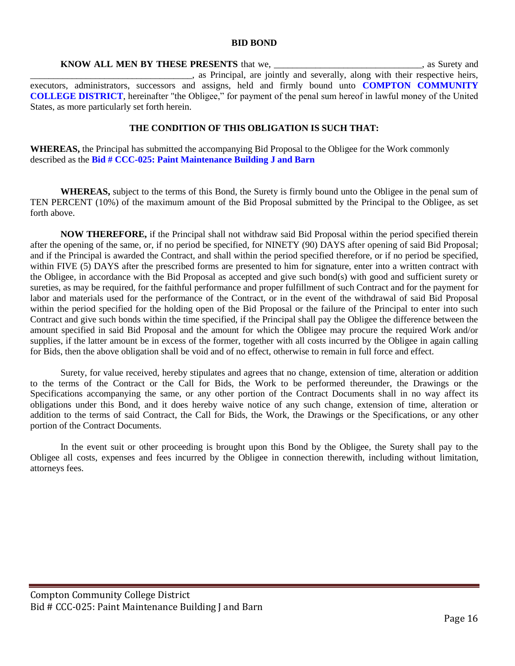#### **BID BOND**

**KNOW ALL MEN BY THESE PRESENTS** that we, the contract of the set of the set of the set of the set of the set of the set of the set of the set of the set of the set of the set of the set of the set of the set of the set of . as Principal, are jointly and severally, along with their respective heirs, executors, administrators, successors and assigns, held and firmly bound unto **COMPTON COMMUNITY COLLEGE DISTRICT**, hereinafter "the Obligee," for payment of the penal sum hereof in lawful money of the United States, as more particularly set forth herein.

#### **THE CONDITION OF THIS OBLIGATION IS SUCH THAT:**

**WHEREAS,** the Principal has submitted the accompanying Bid Proposal to the Obligee for the Work commonly described as the **Bid # CCC-025: Paint Maintenance Building J and Barn**

**WHEREAS,** subject to the terms of this Bond, the Surety is firmly bound unto the Obligee in the penal sum of TEN PERCENT (10%) of the maximum amount of the Bid Proposal submitted by the Principal to the Obligee, as set forth above.

**NOW THEREFORE,** if the Principal shall not withdraw said Bid Proposal within the period specified therein after the opening of the same, or, if no period be specified, for NINETY (90) DAYS after opening of said Bid Proposal; and if the Principal is awarded the Contract, and shall within the period specified therefore, or if no period be specified, within FIVE (5) DAYS after the prescribed forms are presented to him for signature, enter into a written contract with the Obligee, in accordance with the Bid Proposal as accepted and give such bond(s) with good and sufficient surety or sureties, as may be required, for the faithful performance and proper fulfillment of such Contract and for the payment for labor and materials used for the performance of the Contract, or in the event of the withdrawal of said Bid Proposal within the period specified for the holding open of the Bid Proposal or the failure of the Principal to enter into such Contract and give such bonds within the time specified, if the Principal shall pay the Obligee the difference between the amount specified in said Bid Proposal and the amount for which the Obligee may procure the required Work and/or supplies, if the latter amount be in excess of the former, together with all costs incurred by the Obligee in again calling for Bids, then the above obligation shall be void and of no effect, otherwise to remain in full force and effect.

Surety, for value received, hereby stipulates and agrees that no change, extension of time, alteration or addition to the terms of the Contract or the Call for Bids, the Work to be performed thereunder, the Drawings or the Specifications accompanying the same, or any other portion of the Contract Documents shall in no way affect its obligations under this Bond, and it does hereby waive notice of any such change, extension of time, alteration or addition to the terms of said Contract, the Call for Bids, the Work, the Drawings or the Specifications, or any other portion of the Contract Documents.

In the event suit or other proceeding is brought upon this Bond by the Obligee, the Surety shall pay to the Obligee all costs, expenses and fees incurred by the Obligee in connection therewith, including without limitation, attorneys fees.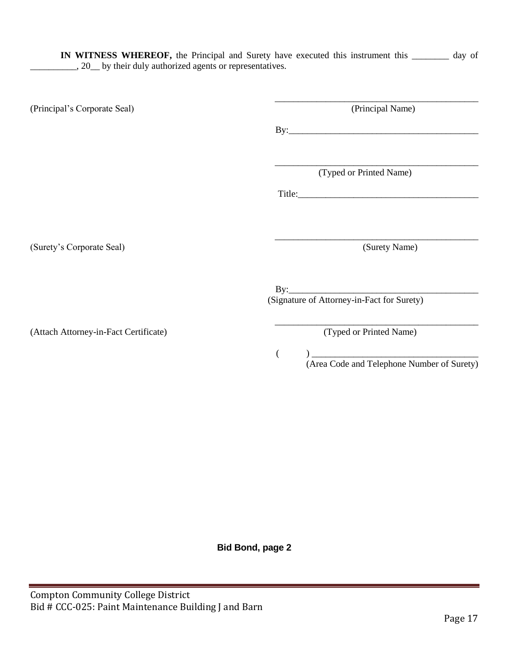**IN WITNESS WHEREOF,** the Principal and Surety have executed this instrument this \_\_\_\_\_\_\_\_ day of \_\_\_\_\_, 20\_\_ by their duly authorized agents or representatives.

| (Principal Name)                           |
|--------------------------------------------|
|                                            |
|                                            |
| (Typed or Printed Name)                    |
|                                            |
|                                            |
| (Surety Name)                              |
|                                            |
|                                            |
| (Signature of Attorney-in-Fact for Surety) |
| (Typed or Printed Name)                    |
|                                            |

 $($   $)$   $)$   $\cdots$   $\cdots$   $\cdots$   $\cdots$   $\cdots$   $\cdots$   $\cdots$   $\cdots$   $\cdots$   $\cdots$   $\cdots$   $\cdots$   $\cdots$   $\cdots$   $\cdots$   $\cdots$   $\cdots$   $\cdots$   $\cdots$   $\cdots$   $\cdots$   $\cdots$   $\cdots$   $\cdots$   $\cdots$   $\cdots$   $\cdots$   $\cdots$   $\cdots$   $\cdots$   $\cdots$   $\cdots$   $\cdots$ (Area Code and Telephone Number of Surety)

**Bid Bond, page 2**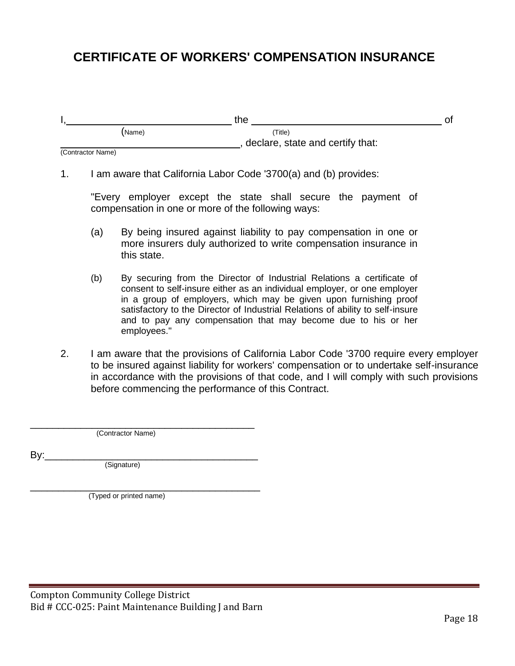# **CERTIFICATE OF WORKERS' COMPENSATION INSURANCE**

|        | the                              |         |  |
|--------|----------------------------------|---------|--|
| (Name) |                                  | 'Title) |  |
|        | declare, state and certify that: |         |  |

(Contractor Name)

1. I am aware that California Labor Code '3700(a) and (b) provides:

"Every employer except the state shall secure the payment of compensation in one or more of the following ways:

- (a) By being insured against liability to pay compensation in one or more insurers duly authorized to write compensation insurance in this state.
- (b) By securing from the Director of Industrial Relations a certificate of consent to self-insure either as an individual employer, or one employer in a group of employers, which may be given upon furnishing proof satisfactory to the Director of Industrial Relations of ability to self-insure and to pay any compensation that may become due to his or her employees."
- 2. I am aware that the provisions of California Labor Code '3700 require every employer to be insured against liability for workers' compensation or to undertake self-insurance in accordance with the provisions of that code, and I will comply with such provisions before commencing the performance of this Contract.

\_\_\_\_\_\_\_\_\_\_\_\_\_\_\_\_\_\_\_\_\_\_\_\_\_\_\_\_\_\_\_\_\_\_\_\_\_\_\_\_ (Contractor Name)

By:\_\_\_\_\_\_\_\_\_\_\_\_\_\_\_\_\_\_\_\_\_\_\_\_\_\_\_\_\_\_\_\_\_\_\_\_\_\_

(Signature)

\_\_\_\_\_\_\_\_\_\_\_\_\_\_\_\_\_\_\_\_\_\_\_\_\_\_\_\_\_\_\_\_\_\_\_\_\_\_\_\_\_ (Typed or printed name)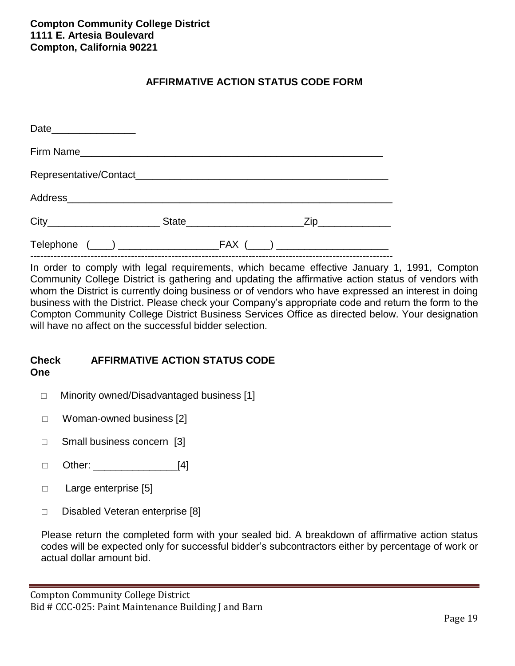# **AFFIRMATIVE ACTION STATUS CODE FORM**

| Date___________________ |  |  |
|-------------------------|--|--|
|                         |  |  |
|                         |  |  |
|                         |  |  |
|                         |  |  |
|                         |  |  |

In order to comply with legal requirements, which became effective January 1, 1991, Compton Community College District is gathering and updating the affirmative action status of vendors with whom the District is currently doing business or of vendors who have expressed an interest in doing business with the District. Please check your Company's appropriate code and return the form to the Compton Community College District Business Services Office as directed below. Your designation will have no affect on the successful bidder selection.

## **Check AFFIRMATIVE ACTION STATUS CODE One**

- □ Minority owned/Disadvantaged business [1]
- □ Woman-owned business [2]
- □ Small business concern [3]
- $\Box$  Other: [4]
- □ Large enterprise [5]
- $\Box$  Disabled Veteran enterprise [8]

Please return the completed form with your sealed bid. A breakdown of affirmative action status codes will be expected only for successful bidder's subcontractors either by percentage of work or actual dollar amount bid.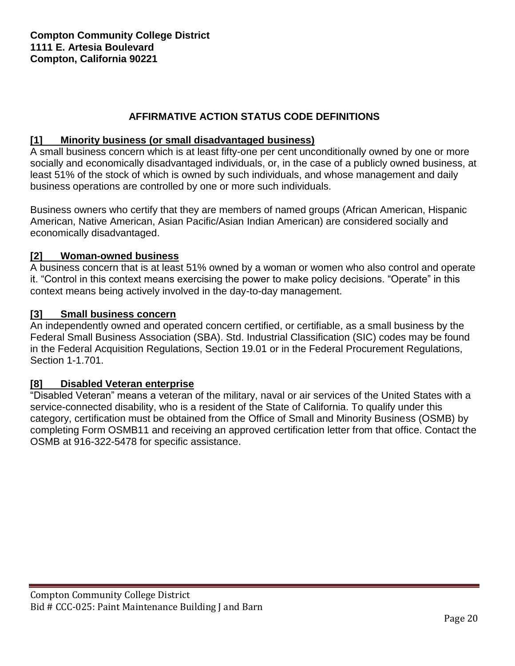# **AFFIRMATIVE ACTION STATUS CODE DEFINITIONS**

# **[1] Minority business (or small disadvantaged business)**

A small business concern which is at least fifty-one per cent unconditionally owned by one or more socially and economically disadvantaged individuals, or, in the case of a publicly owned business, at least 51% of the stock of which is owned by such individuals, and whose management and daily business operations are controlled by one or more such individuals.

Business owners who certify that they are members of named groups (African American, Hispanic American, Native American, Asian Pacific/Asian Indian American) are considered socially and economically disadvantaged.

# **[2] Woman-owned business**

A business concern that is at least 51% owned by a woman or women who also control and operate it. "Control in this context means exercising the power to make policy decisions. "Operate" in this context means being actively involved in the day-to-day management.

# **[3] Small business concern**

An independently owned and operated concern certified, or certifiable, as a small business by the Federal Small Business Association (SBA). Std. Industrial Classification (SIC) codes may be found in the Federal Acquisition Regulations, Section 19.01 or in the Federal Procurement Regulations, Section 1-1.701.

# **[8] Disabled Veteran enterprise**

"Disabled Veteran" means a veteran of the military, naval or air services of the United States with a service-connected disability, who is a resident of the State of California. To qualify under this category, certification must be obtained from the Office of Small and Minority Business (OSMB) by completing Form OSMB11 and receiving an approved certification letter from that office. Contact the OSMB at 916-322-5478 for specific assistance.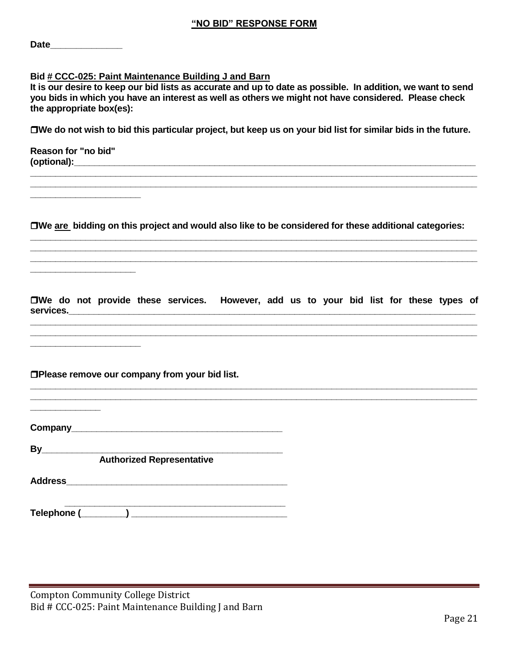| Date |  |  |  |  |
|------|--|--|--|--|
|      |  |  |  |  |

## **Bid # CCC-025: Paint Maintenance Building J and Barn**

**It is our desire to keep our bid lists as accurate and up to date as possible. In addition, we want to send you bids in which you have an interest as well as others we might not have considered. Please check the appropriate box(es):**

**We do not wish to bid this particular project, but keep us on your bid list for similar bids in the future.**

**\_\_\_\_\_\_\_\_\_\_\_\_\_\_\_\_\_\_\_\_\_\_\_\_\_\_\_\_\_\_\_\_\_\_\_\_\_\_\_\_\_\_\_\_\_\_\_\_\_\_\_\_\_\_\_\_\_\_\_\_\_\_\_\_\_\_\_\_\_\_\_\_\_\_\_\_\_\_\_\_\_\_\_\_\_\_\_\_\_**

**Reason for "no bid" (optional):\_\_\_\_\_\_\_\_\_\_\_\_\_\_\_\_\_\_\_\_\_\_\_\_\_\_\_\_\_\_\_\_\_\_\_\_\_\_\_\_\_\_\_\_\_\_\_\_\_\_\_\_\_\_\_\_\_\_\_\_\_\_\_\_\_\_\_\_\_\_\_\_\_\_\_\_\_\_\_\_**

**\_\_\_\_\_\_\_\_\_\_\_\_\_\_\_\_\_\_\_\_\_\_**

**\_\_\_\_\_\_\_\_\_\_\_\_\_\_\_\_\_\_\_\_\_**

**\_\_\_\_\_\_\_\_\_\_\_\_\_\_\_\_\_\_\_\_\_\_**

**We are bidding on this project and would also like to be considered for these additional categories: \_\_\_\_\_\_\_\_\_\_\_\_\_\_\_\_\_\_\_\_\_\_\_\_\_\_\_\_\_\_\_\_\_\_\_\_\_\_\_\_\_\_\_\_\_\_\_\_\_\_\_\_\_\_\_\_\_\_\_\_\_\_\_\_\_\_\_\_\_\_\_\_\_\_\_\_\_\_\_\_\_\_\_\_\_\_\_\_\_**

**\_\_\_\_\_\_\_\_\_\_\_\_\_\_\_\_\_\_\_\_\_\_\_\_\_\_\_\_\_\_\_\_\_\_\_\_\_\_\_\_\_\_\_\_\_\_\_\_\_\_\_\_\_\_\_\_\_\_\_\_\_\_\_\_\_\_\_\_\_\_\_\_\_\_\_\_\_\_\_\_\_\_\_\_\_\_\_\_\_ \_\_\_\_\_\_\_\_\_\_\_\_\_\_\_\_\_\_\_\_\_\_\_\_\_\_\_\_\_\_\_\_\_\_\_\_\_\_\_\_\_\_\_\_\_\_\_\_\_\_\_\_\_\_\_\_\_\_\_\_\_\_\_\_\_\_\_\_\_\_\_\_\_\_\_\_\_\_\_\_\_\_\_\_\_\_\_\_\_**

**We do not provide these services. However, add us to your bid list for these types of services.\_\_\_\_\_\_\_\_\_\_\_\_\_\_\_\_\_\_\_\_\_\_\_\_\_\_\_\_\_\_\_\_\_\_\_\_\_\_\_\_\_\_\_\_\_\_\_\_\_\_\_\_\_\_\_\_\_\_\_\_\_\_\_\_\_\_\_\_\_\_\_\_\_\_\_\_\_\_\_\_\_ \_\_\_\_\_\_\_\_\_\_\_\_\_\_\_\_\_\_\_\_\_\_\_\_\_\_\_\_\_\_\_\_\_\_\_\_\_\_\_\_\_\_\_\_\_\_\_\_\_\_\_\_\_\_\_\_\_\_\_\_\_\_\_\_\_\_\_\_\_\_\_\_\_\_\_\_\_\_\_\_\_\_\_\_\_\_\_\_\_**

**\_\_\_\_\_\_\_\_\_\_\_\_\_\_\_\_\_\_\_\_\_\_\_\_\_\_\_\_\_\_\_\_\_\_\_\_\_\_\_\_\_\_\_\_\_\_\_\_\_\_\_\_\_\_\_\_\_\_\_\_\_\_\_\_\_\_\_\_\_\_\_\_\_\_\_\_\_\_\_\_\_\_\_\_\_\_\_\_\_**

**\_\_\_\_\_\_\_\_\_\_\_\_\_\_\_\_\_\_\_\_\_\_\_\_\_\_\_\_\_\_\_\_\_\_\_\_\_\_\_\_\_\_\_\_\_\_\_\_\_\_\_\_\_\_\_\_\_\_\_\_\_\_\_\_\_\_\_\_\_\_\_\_\_\_\_\_\_\_\_\_\_\_\_\_\_\_\_\_\_ \_\_\_\_\_\_\_\_\_\_\_\_\_\_\_\_\_\_\_\_\_\_\_\_\_\_\_\_\_\_\_\_\_\_\_\_\_\_\_\_\_\_\_\_\_\_\_\_\_\_\_\_\_\_\_\_\_\_\_\_\_\_\_\_\_\_\_\_\_\_\_\_\_\_\_\_\_\_\_\_\_\_\_\_\_\_\_\_\_**

**Please remove our company from your bid list.**

**Company\_\_\_\_\_\_\_\_\_\_\_\_\_\_\_\_\_\_\_\_\_\_\_\_\_\_\_\_\_\_\_\_\_\_\_\_\_\_\_\_\_\_**

**By\_\_\_\_\_\_\_\_\_\_\_\_\_\_\_\_\_\_\_\_\_\_\_\_\_\_\_\_\_\_\_\_\_\_\_\_\_\_\_\_\_\_\_\_\_\_\_\_**

**Authorized Representative**

**Address\_\_\_\_\_\_\_\_\_\_\_\_\_\_\_\_\_\_\_\_\_\_\_\_\_\_\_\_\_\_\_\_\_\_\_\_\_\_\_\_\_\_\_\_**

**\_\_\_\_\_\_\_\_\_\_\_\_\_\_**

 **\_\_\_\_\_\_\_\_\_\_\_\_\_\_\_\_\_\_\_\_\_\_\_\_\_\_\_\_\_\_\_\_\_\_\_\_\_\_\_\_\_\_\_\_ Telephone (\_\_\_\_\_\_\_\_\_) \_\_\_\_\_\_\_\_\_\_\_\_\_\_\_\_\_\_\_\_\_\_\_\_\_\_\_\_\_\_\_**

Compton Community College District Bid # CCC-025: Paint Maintenance Building J and Barn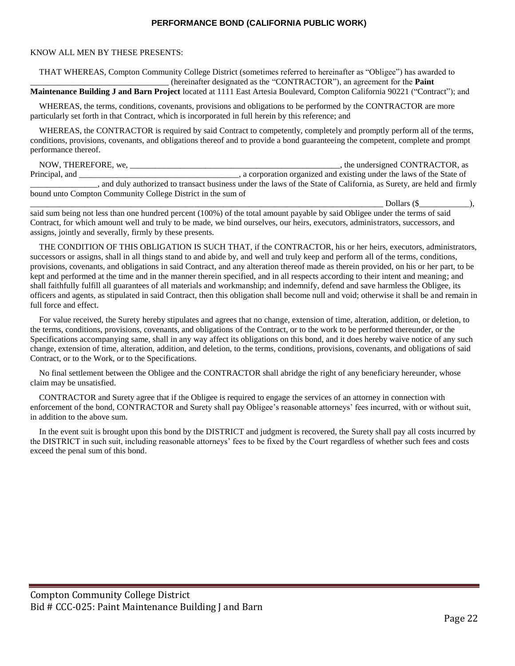#### **PERFORMANCE BOND (CALIFORNIA PUBLIC WORK)**

#### KNOW ALL MEN BY THESE PRESENTS:

THAT WHEREAS, Compton Community College District (sometimes referred to hereinafter as "Obligee") has awarded to \_\_\_\_\_\_\_\_\_\_\_\_\_\_\_\_\_\_\_\_\_\_\_\_\_\_\_\_\_\_\_\_\_ (hereinafter designated as the "CONTRACTOR"), an agreement for the **Paint Maintenance Building J and Barn Project** located at 1111 East Artesia Boulevard, Compton California 90221 ("Contract"); and

WHEREAS, the terms, conditions, covenants, provisions and obligations to be performed by the CONTRACTOR are more particularly set forth in that Contract, which is incorporated in full herein by this reference; and

WHEREAS, the CONTRACTOR is required by said Contract to competently, completely and promptly perform all of the terms, conditions, provisions, covenants, and obligations thereof and to provide a bond guaranteeing the competent, complete and prompt performance thereof.

NOW, THEREFORE, we, \_\_\_\_\_\_\_\_\_\_\_\_\_\_\_\_\_\_\_\_\_\_\_\_\_\_\_\_\_\_\_\_\_\_\_\_\_\_\_\_\_\_\_\_\_\_\_\_\_\_, the undersigned CONTRACTOR, as Principal, and \_\_\_\_\_\_\_\_\_\_\_\_\_\_\_\_\_\_\_\_\_\_\_\_\_\_\_\_\_\_\_\_, a corporation organized and existing under the laws of the State of \_\_\_\_\_\_\_\_\_\_\_\_\_\_\_\_, and duly authorized to transact business under the laws of the State of California, as Surety, are held and firmly bound unto Compton Community College District in the sum of

\_\_\_\_\_\_\_\_\_\_\_\_\_\_\_\_\_\_\_\_\_\_\_\_\_\_\_\_\_\_\_\_\_\_\_\_\_\_\_\_\_\_\_\_\_\_\_\_\_\_\_\_\_\_\_\_\_\_\_\_\_\_\_\_\_\_\_\_\_\_\_\_\_\_\_\_\_\_\_\_\_\_\_\_ Dollars (\$\_\_\_\_\_\_\_\_\_\_\_\_),

said sum being not less than one hundred percent (100%) of the total amount payable by said Obligee under the terms of said Contract, for which amount well and truly to be made, we bind ourselves, our heirs, executors, administrators, successors, and assigns, jointly and severally, firmly by these presents.

THE CONDITION OF THIS OBLIGATION IS SUCH THAT, if the CONTRACTOR, his or her heirs, executors, administrators, successors or assigns, shall in all things stand to and abide by, and well and truly keep and perform all of the terms, conditions, provisions, covenants, and obligations in said Contract, and any alteration thereof made as therein provided, on his or her part, to be kept and performed at the time and in the manner therein specified, and in all respects according to their intent and meaning; and shall faithfully fulfill all guarantees of all materials and workmanship; and indemnify, defend and save harmless the Obligee, its officers and agents, as stipulated in said Contract, then this obligation shall become null and void; otherwise it shall be and remain in full force and effect.

For value received, the Surety hereby stipulates and agrees that no change, extension of time, alteration, addition, or deletion, to the terms, conditions, provisions, covenants, and obligations of the Contract, or to the work to be performed thereunder, or the Specifications accompanying same, shall in any way affect its obligations on this bond, and it does hereby waive notice of any such change, extension of time, alteration, addition, and deletion, to the terms, conditions, provisions, covenants, and obligations of said Contract, or to the Work, or to the Specifications.

No final settlement between the Obligee and the CONTRACTOR shall abridge the right of any beneficiary hereunder, whose claim may be unsatisfied.

CONTRACTOR and Surety agree that if the Obligee is required to engage the services of an attorney in connection with enforcement of the bond, CONTRACTOR and Surety shall pay Obligee's reasonable attorneys' fees incurred, with or without suit, in addition to the above sum.

In the event suit is brought upon this bond by the DISTRICT and judgment is recovered, the Surety shall pay all costs incurred by the DISTRICT in such suit, including reasonable attorneys' fees to be fixed by the Court regardless of whether such fees and costs exceed the penal sum of this bond.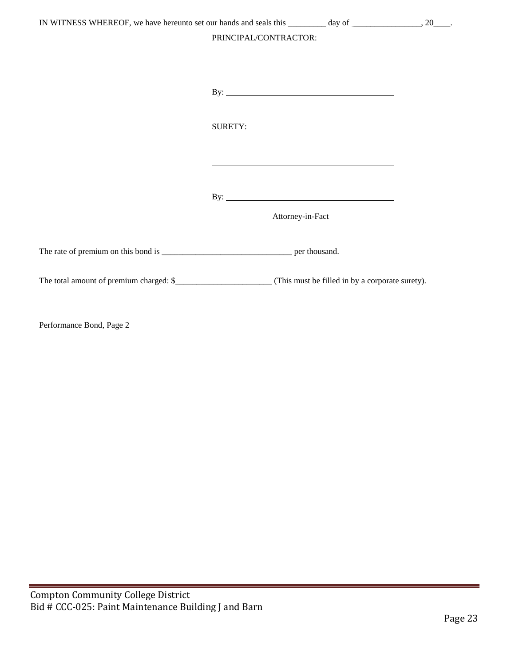| IN WITNESS WHEREOF, we have hereunto set our hands and seals this _________ day of ________________, 20____.                                                                                                                  |  |
|-------------------------------------------------------------------------------------------------------------------------------------------------------------------------------------------------------------------------------|--|
| PRINCIPAL/CONTRACTOR:<br><u> 1989 - Johann Stoff, amerikansk politiker (d. 1989)</u>                                                                                                                                          |  |
| By: $\overline{\phantom{a}}$                                                                                                                                                                                                  |  |
| <b>SURETY:</b>                                                                                                                                                                                                                |  |
| the control of the control of the control of the control of the control of the control of the control of the control of the control of the control of the control of the control of the control of the control of the control |  |
| By: $\qquad \qquad$                                                                                                                                                                                                           |  |
| Attorney-in-Fact                                                                                                                                                                                                              |  |
|                                                                                                                                                                                                                               |  |
|                                                                                                                                                                                                                               |  |

Performance Bond, Page 2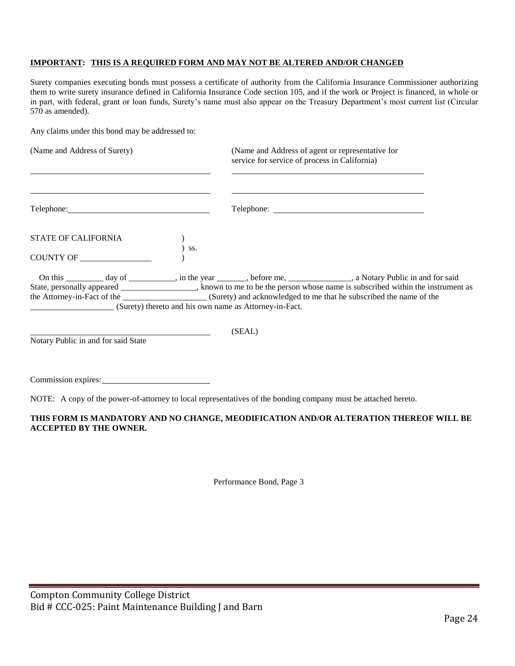## **IMPORTANT: THIS IS A REQUIRED FORM AND MAY NOT BE ALTERED AND/OR CHANGED**

Surety companies executing bonds must possess a certificate of authority from the California Insurance Commissioner authorizing them to write surety insurance defined in California Insurance Code section 105, and if the work or Project is financed, in whole or in part, with federal, grant or loan funds, Surety's name must also appear on the Treasury Department's most current list (Circular 570 as amended).

Any claims under this bond may be addressed to:

| (Name and Address of Surety)                           | (Name and Address of agent or representative for<br>service for service of process in California)                                                                                                                                                              |
|--------------------------------------------------------|----------------------------------------------------------------------------------------------------------------------------------------------------------------------------------------------------------------------------------------------------------------|
|                                                        |                                                                                                                                                                                                                                                                |
| <b>STATE OF CALIFORNIA</b><br>SS.                      |                                                                                                                                                                                                                                                                |
| COUNTY OF _____                                        |                                                                                                                                                                                                                                                                |
|                                                        | On this _____________ day of ______________, in the year _________, before me, _________________, a Notary Public in and for said<br>State, personally appeared ______________, known to me to be the person whose name is subscribed within the instrument as |
| (Surety) thereto and his own name as Attorney-in-Fact. |                                                                                                                                                                                                                                                                |
| Notary Public in and for said State                    | (SEAL)                                                                                                                                                                                                                                                         |

Commission expires:

NOTE: A copy of the power-of-attorney to local representatives of the bonding company must be attached hereto.

#### **THIS FORM IS MANDATORY AND NO CHANGE, MEODIFICATION AND/OR ALTERATION THEREOF WILL BE ACCEPTED BY THE OWNER.**

Performance Bond, Page 3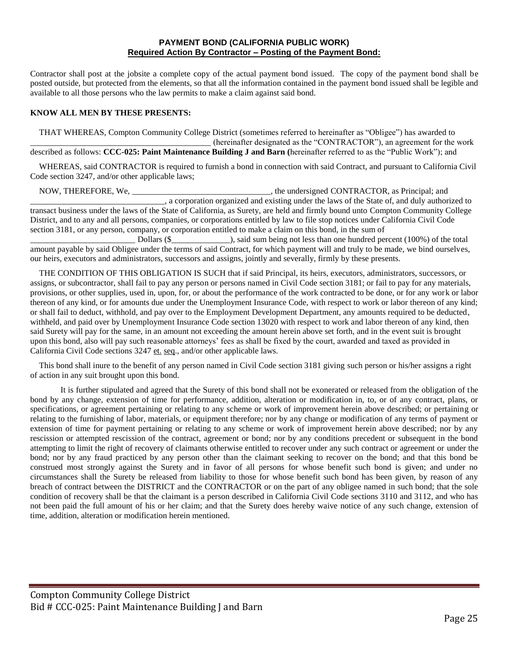#### **PAYMENT BOND (CALIFORNIA PUBLIC WORK) Required Action By Contractor – Posting of the Payment Bond:**

Contractor shall post at the jobsite a complete copy of the actual payment bond issued. The copy of the payment bond shall be posted outside, but protected from the elements, so that all the information contained in the payment bond issued shall be legible and available to all those persons who the law permits to make a claim against said bond.

#### **KNOW ALL MEN BY THESE PRESENTS:**

THAT WHEREAS, Compton Community College District (sometimes referred to hereinafter as "Obligee") has awarded to \_\_\_\_\_\_\_\_\_\_\_\_\_\_\_\_\_\_\_\_\_\_\_\_\_\_\_\_\_\_\_\_\_\_\_\_\_\_\_\_\_\_\_ (hereinafter designated as the "CONTRACTOR"), an agreement for the work described as follows: **CCC-025: Paint Maintenance Building J and Barn (**hereinafter referred to as the "Public Work"); and

WHEREAS, said CONTRACTOR is required to furnish a bond in connection with said Contract, and pursuant to California Civil Code section 3247, and/or other applicable laws;

NOW, THEREFORE, We, the undersigned CONTRACTOR, as Principal; and \_\_\_\_\_\_\_\_\_\_\_\_\_\_\_\_\_\_\_\_\_\_\_\_\_\_\_\_\_\_\_\_, a corporation organized and existing under the laws of the State of, and duly authorized to transact business under the laws of the State of California, as Surety, are held and firmly bound unto Compton Community College District, and to any and all persons, companies, or corporations entitled by law to file stop notices under California Civil Code section 3181, or any person, company, or corporation entitled to make a claim on this bond, in the sum of

\_\_\_\_\_\_\_\_\_\_\_\_\_\_\_\_\_\_\_\_\_\_\_\_\_ Dollars (\$\_\_\_\_\_\_\_\_\_\_\_\_\_\_), said sum being not less than one hundred percent (100%) of the total amount payable by said Obligee under the terms of said Contract, for which payment will and truly to be made, we bind ourselves, our heirs, executors and administrators, successors and assigns, jointly and severally, firmly by these presents.

THE CONDITION OF THIS OBLIGATION IS SUCH that if said Principal, its heirs, executors, administrators, successors, or assigns, or subcontractor, shall fail to pay any person or persons named in Civil Code section 3181; or fail to pay for any materials, provisions, or other supplies, used in, upon, for, or about the performance of the work contracted to be done, or for any work or labor thereon of any kind, or for amounts due under the Unemployment Insurance Code, with respect to work or labor thereon of any kind; or shall fail to deduct, withhold, and pay over to the Employment Development Department, any amounts required to be deducted, withheld, and paid over by Unemployment Insurance Code section 13020 with respect to work and labor thereon of any kind, then said Surety will pay for the same, in an amount not exceeding the amount herein above set forth, and in the event suit is brought upon this bond, also will pay such reasonable attorneys' fees as shall be fixed by the court, awarded and taxed as provided in California Civil Code sections 3247 et. seq., and/or other applicable laws.

This bond shall inure to the benefit of any person named in Civil Code section 3181 giving such person or his/her assigns a right of action in any suit brought upon this bond.

It is further stipulated and agreed that the Surety of this bond shall not be exonerated or released from the obligation of the bond by any change, extension of time for performance, addition, alteration or modification in, to, or of any contract, plans, or specifications, or agreement pertaining or relating to any scheme or work of improvement herein above described; or pertaining or relating to the furnishing of labor, materials, or equipment therefore; nor by any change or modification of any terms of payment or extension of time for payment pertaining or relating to any scheme or work of improvement herein above described; nor by any rescission or attempted rescission of the contract, agreement or bond; nor by any conditions precedent or subsequent in the bond attempting to limit the right of recovery of claimants otherwise entitled to recover under any such contract or agreement or under the bond; nor by any fraud practiced by any person other than the claimant seeking to recover on the bond; and that this bond be construed most strongly against the Surety and in favor of all persons for whose benefit such bond is given; and under no circumstances shall the Surety be released from liability to those for whose benefit such bond has been given, by reason of any breach of contract between the DISTRICT and the CONTRACTOR or on the part of any obligee named in such bond; that the sole condition of recovery shall be that the claimant is a person described in California Civil Code sections 3110 and 3112, and who has not been paid the full amount of his or her claim; and that the Surety does hereby waive notice of any such change, extension of time, addition, alteration or modification herein mentioned.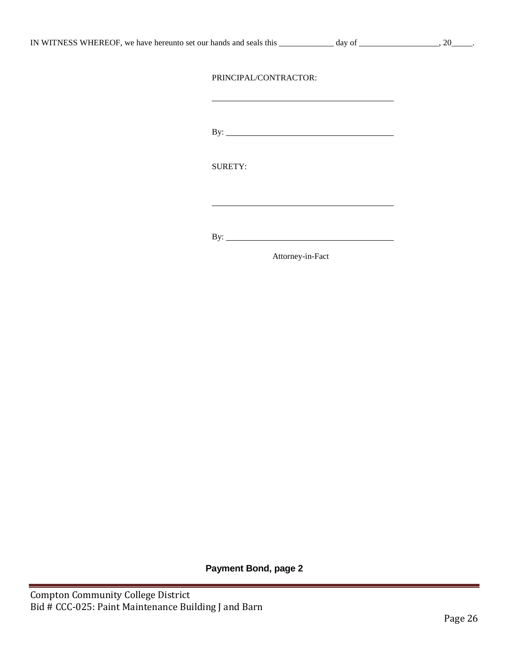| IN WITNESS WHEREOF, we have hereunto set our hands and seals this |  |
|-------------------------------------------------------------------|--|
|-------------------------------------------------------------------|--|

 $\frac{1}{\text{day of}}$  and set our hands and set our hands and set our hands and seals the set of  $\frac{1}{\text{day of}}$ .

## PRINCIPAL/CONTRACTOR:

By:

SURETY:

By:

Attorney-in-Fact

**Payment Bond, page 2**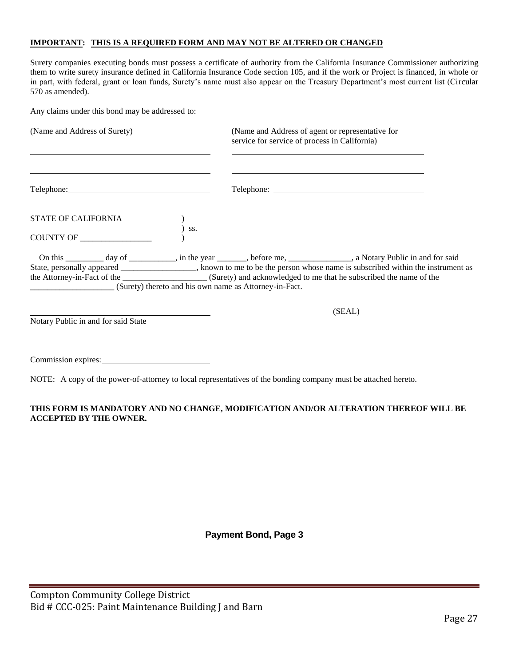#### **IMPORTANT: THIS IS A REQUIRED FORM AND MAY NOT BE ALTERED OR CHANGED**

Surety companies executing bonds must possess a certificate of authority from the California Insurance Commissioner authorizing them to write surety insurance defined in California Insurance Code section 105, and if the work or Project is financed, in whole or in part, with federal, grant or loan funds, Surety's name must also appear on the Treasury Department's most current list (Circular 570 as amended).

Any claims under this bond may be addressed to:

| (Name and Address of Surety)                           |     | (Name and Address of agent or representative for<br>service for service of process in California)                           |
|--------------------------------------------------------|-----|-----------------------------------------------------------------------------------------------------------------------------|
|                                                        |     |                                                                                                                             |
| STATE OF CALIFORNIA                                    | SS. |                                                                                                                             |
| COUNTY OF                                              |     |                                                                                                                             |
|                                                        |     | On this ____________ day of ____________, in the year ________, before me, _______________, a Notary Public in and for said |
|                                                        |     | State, personally appeared _______________, known to me to be the person whose name is subscribed within the instrument as  |
|                                                        |     |                                                                                                                             |
| (Surety) thereto and his own name as Attorney-in-Fact. |     |                                                                                                                             |
|                                                        |     | (SEAL)                                                                                                                      |
| Notary Public in and for said State                    |     |                                                                                                                             |

Commission expires:

NOTE: A copy of the power-of-attorney to local representatives of the bonding company must be attached hereto.

#### **THIS FORM IS MANDATORY AND NO CHANGE, MODIFICATION AND/OR ALTERATION THEREOF WILL BE ACCEPTED BY THE OWNER.**

**Payment Bond, Page 3**